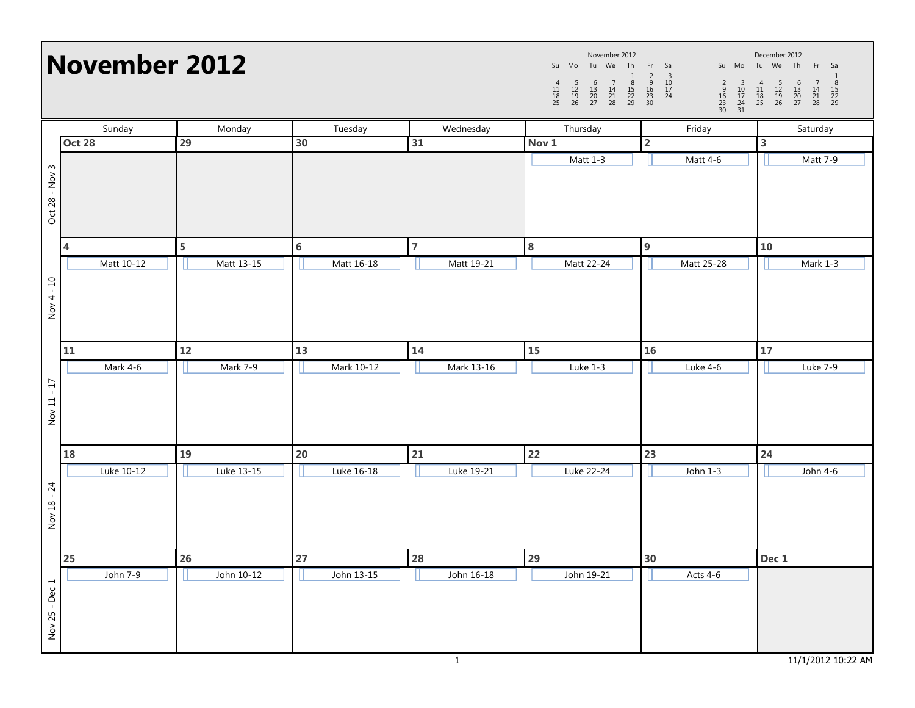| November 2012  |               |            |            |                | November 2012<br>December 2012<br>Su Mo Tu We Th<br>Su Mo Tu We Th Fr Sa<br>Fr Sa<br>$\begin{array}{c cc} & 1 & 2 & 3 \\ \hline 8 & 9 & 10 \\ 15 & 16 & 17 \\ 22 & 23 & 24 \\ 29 & 30 & \end{array}$<br>$\begin{array}{ccccc} & 5 & 6 & 7 \\ 12 & 13 & 14 \\ 19 & 20 & 21 \\ 26 & 27 & 28 \end{array}$<br>$\begin{array}{cccccc} & 4 & 5 & 6 & 7 & 8 \\ 11 & 12 & 13 & 14 & 15 \\ 18 & 19 & 20 & 21 & 22 \\ 25 & 26 & 27 & 28 & 29 \end{array}$<br>$\overline{4}$<br>$\begin{array}{c}\n2 \\ 9 \\ 16 \\ 23 \\ 30\n\end{array}$<br>$\begin{array}{c} 3 \\ 10 \\ 17 \\ 24 \\ 31 \end{array}$<br>11<br>$\frac{18}{25}$ |                         |          |
|----------------|---------------|------------|------------|----------------|---------------------------------------------------------------------------------------------------------------------------------------------------------------------------------------------------------------------------------------------------------------------------------------------------------------------------------------------------------------------------------------------------------------------------------------------------------------------------------------------------------------------------------------------------------------------------------------------------------------------|-------------------------|----------|
|                | Sunday        | Monday     | Tuesday    | Wednesday      | Thursday                                                                                                                                                                                                                                                                                                                                                                                                                                                                                                                                                                                                            | Friday                  | Saturday |
|                | <b>Oct 28</b> | 29         | 30         | 31             | Nov 1                                                                                                                                                                                                                                                                                                                                                                                                                                                                                                                                                                                                               | $\overline{\mathbf{2}}$ | 3        |
| Oct 28 - Nov 3 |               |            |            |                | Matt 1-3                                                                                                                                                                                                                                                                                                                                                                                                                                                                                                                                                                                                            | Matt 4-6                | Matt 7-9 |
|                | 4             | 5          | 6          | $\overline{7}$ | 8                                                                                                                                                                                                                                                                                                                                                                                                                                                                                                                                                                                                                   | 9                       | 10       |
|                | Matt 10-12    | Matt 13-15 | Matt 16-18 | Matt 19-21     | Matt 22-24                                                                                                                                                                                                                                                                                                                                                                                                                                                                                                                                                                                                          | Matt 25-28              | Mark 1-3 |
| $Nov 4 - 10$   |               |            |            |                |                                                                                                                                                                                                                                                                                                                                                                                                                                                                                                                                                                                                                     |                         |          |
|                | 11            | 12         | 13         | 14             | 15                                                                                                                                                                                                                                                                                                                                                                                                                                                                                                                                                                                                                  | 16                      | 17       |
| Nov 11 - 17    | Mark 4-6      | Mark 7-9   | Mark 10-12 | Mark 13-16     | Luke 1-3                                                                                                                                                                                                                                                                                                                                                                                                                                                                                                                                                                                                            | Luke 4-6                | Luke 7-9 |
|                | 18            | 19         | 20         | 21             | 22                                                                                                                                                                                                                                                                                                                                                                                                                                                                                                                                                                                                                  | 23                      | 24       |
|                | Luke 10-12    | Luke 13-15 | Luke 16-18 | Luke 19-21     | Luke 22-24                                                                                                                                                                                                                                                                                                                                                                                                                                                                                                                                                                                                          | John 1-3                | John 4-6 |
| Nov 18 - 24    |               |            |            |                |                                                                                                                                                                                                                                                                                                                                                                                                                                                                                                                                                                                                                     |                         |          |
|                | <b>25</b>     | 26         | $27\,$     | 28             | 29                                                                                                                                                                                                                                                                                                                                                                                                                                                                                                                                                                                                                  | 30                      | Dec 1    |
| Nov 25 - Dec 1 | John 7-9      | John 10-12 | John 13-15 | John 16-18     | John 19-21                                                                                                                                                                                                                                                                                                                                                                                                                                                                                                                                                                                                          | Acts 4-6                |          |